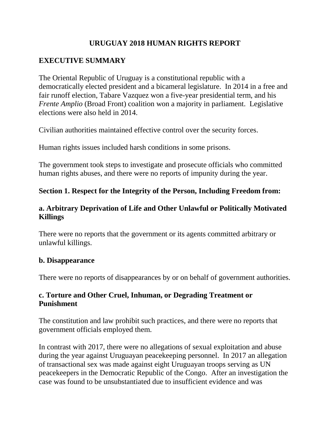### **URUGUAY 2018 HUMAN RIGHTS REPORT**

## **EXECUTIVE SUMMARY**

The Oriental Republic of Uruguay is a constitutional republic with a democratically elected president and a bicameral legislature. In 2014 in a free and fair runoff election, Tabare Vazquez won a five-year presidential term, and his *Frente Amplio* (Broad Front) coalition won a majority in parliament. Legislative elections were also held in 2014.

Civilian authorities maintained effective control over the security forces.

Human rights issues included harsh conditions in some prisons.

The government took steps to investigate and prosecute officials who committed human rights abuses, and there were no reports of impunity during the year.

## **Section 1. Respect for the Integrity of the Person, Including Freedom from:**

### **a. Arbitrary Deprivation of Life and Other Unlawful or Politically Motivated Killings**

There were no reports that the government or its agents committed arbitrary or unlawful killings.

#### **b. Disappearance**

There were no reports of disappearances by or on behalf of government authorities.

### **c. Torture and Other Cruel, Inhuman, or Degrading Treatment or Punishment**

The constitution and law prohibit such practices, and there were no reports that government officials employed them.

In contrast with 2017, there were no allegations of sexual exploitation and abuse during the year against Uruguayan peacekeeping personnel. In 2017 an allegation of transactional sex was made against eight Uruguayan troops serving as UN peacekeepers in the Democratic Republic of the Congo. After an investigation the case was found to be unsubstantiated due to insufficient evidence and was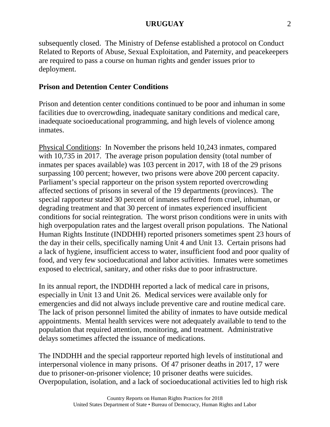subsequently closed. The Ministry of Defense established a protocol on Conduct Related to Reports of Abuse, Sexual Exploitation, and Paternity, and peacekeepers are required to pass a course on human rights and gender issues prior to deployment.

### **Prison and Detention Center Conditions**

Prison and detention center conditions continued to be poor and inhuman in some facilities due to overcrowding, inadequate sanitary conditions and medical care, inadequate socioeducational programming, and high levels of violence among inmates.

Physical Conditions: In November the prisons held 10,243 inmates, compared with 10,735 in 2017. The average prison population density (total number of inmates per spaces available) was 103 percent in 2017, with 18 of the 29 prisons surpassing 100 percent; however, two prisons were above 200 percent capacity. Parliament's special rapporteur on the prison system reported overcrowding affected sections of prisons in several of the 19 departments (provinces). The special rapporteur stated 30 percent of inmates suffered from cruel, inhuman, or degrading treatment and that 30 percent of inmates experienced insufficient conditions for social reintegration. The worst prison conditions were in units with high overpopulation rates and the largest overall prison populations. The National Human Rights Institute (INDDHH) reported prisoners sometimes spent 23 hours of the day in their cells, specifically naming Unit 4 and Unit 13. Certain prisons had a lack of hygiene, insufficient access to water, insufficient food and poor quality of food, and very few socioeducational and labor activities. Inmates were sometimes exposed to electrical, sanitary, and other risks due to poor infrastructure.

In its annual report, the INDDHH reported a lack of medical care in prisons, especially in Unit 13 and Unit 26. Medical services were available only for emergencies and did not always include preventive care and routine medical care. The lack of prison personnel limited the ability of inmates to have outside medical appointments. Mental health services were not adequately available to tend to the population that required attention, monitoring, and treatment. Administrative delays sometimes affected the issuance of medications.

The INDDHH and the special rapporteur reported high levels of institutional and interpersonal violence in many prisons. Of 47 prisoner deaths in 2017, 17 were due to prisoner-on-prisoner violence; 10 prisoner deaths were suicides. Overpopulation, isolation, and a lack of socioeducational activities led to high risk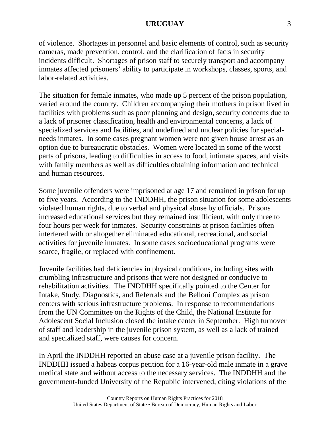of violence. Shortages in personnel and basic elements of control, such as security cameras, made prevention, control, and the clarification of facts in security incidents difficult. Shortages of prison staff to securely transport and accompany inmates affected prisoners' ability to participate in workshops, classes, sports, and labor-related activities.

The situation for female inmates, who made up 5 percent of the prison population, varied around the country. Children accompanying their mothers in prison lived in facilities with problems such as poor planning and design, security concerns due to a lack of prisoner classification, health and environmental concerns, a lack of specialized services and facilities, and undefined and unclear policies for specialneeds inmates. In some cases pregnant women were not given house arrest as an option due to bureaucratic obstacles. Women were located in some of the worst parts of prisons, leading to difficulties in access to food, intimate spaces, and visits with family members as well as difficulties obtaining information and technical and human resources.

Some juvenile offenders were imprisoned at age 17 and remained in prison for up to five years. According to the INDDHH, the prison situation for some adolescents violated human rights, due to verbal and physical abuse by officials. Prisons increased educational services but they remained insufficient, with only three to four hours per week for inmates. Security constraints at prison facilities often interfered with or altogether eliminated educational, recreational, and social activities for juvenile inmates. In some cases socioeducational programs were scarce, fragile, or replaced with confinement.

Juvenile facilities had deficiencies in physical conditions, including sites with crumbling infrastructure and prisons that were not designed or conducive to rehabilitation activities. The INDDHH specifically pointed to the Center for Intake, Study, Diagnostics, and Referrals and the Belloni Complex as prison centers with serious infrastructure problems. In response to recommendations from the UN Committee on the Rights of the Child, the National Institute for Adolescent Social Inclusion closed the intake center in September. High turnover of staff and leadership in the juvenile prison system, as well as a lack of trained and specialized staff, were causes for concern.

In April the INDDHH reported an abuse case at a juvenile prison facility. The INDDHH issued a habeas corpus petition for a 16-year-old male inmate in a grave medical state and without access to the necessary services. The INDDHH and the government-funded University of the Republic intervened, citing violations of the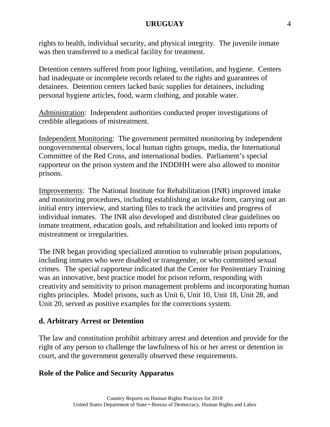rights to health, individual security, and physical integrity. The juvenile inmate was then transferred to a medical facility for treatment.

Detention centers suffered from poor lighting, ventilation, and hygiene. Centers had inadequate or incomplete records related to the rights and guarantees of detainees. Detention centers lacked basic supplies for detainees, including personal hygiene articles, food, warm clothing, and potable water.

Administration: Independent authorities conducted proper investigations of credible allegations of mistreatment.

Independent Monitoring: The government permitted monitoring by independent nongovernmental observers, local human rights groups, media, the International Committee of the Red Cross, and international bodies. Parliament's special rapporteur on the prison system and the INDDHH were also allowed to monitor prisons.

Improvements: The National Institute for Rehabilitation (INR) improved intake and monitoring procedures, including establishing an intake form, carrying out an initial entry interview, and starting files to track the activities and progress of individual inmates. The INR also developed and distributed clear guidelines on inmate treatment, education goals, and rehabilitation and looked into reports of mistreatment or irregularities.

The INR began providing specialized attention to vulnerable prison populations, including inmates who were disabled or transgender, or who committed sexual crimes. The special rapporteur indicated that the Center for Penitentiary Training was an innovative, best practice model for prison reform, responding with creativity and sensitivity to prison management problems and incorporating human rights principles. Model prisons, such as Unit 6, Unit 10, Unit 18, Unit 28, and Unit 20, served as positive examples for the corrections system.

### **d. Arbitrary Arrest or Detention**

The law and constitution prohibit arbitrary arrest and detention and provide for the right of any person to challenge the lawfulness of his or her arrest or detention in court, and the government generally observed these requirements.

## **Role of the Police and Security Apparatus**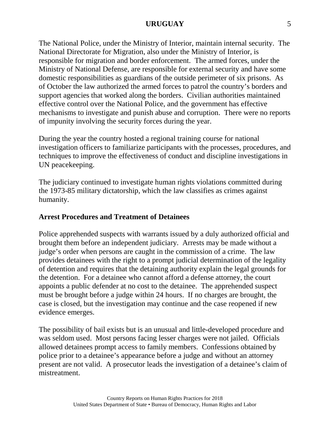The National Police, under the Ministry of Interior, maintain internal security. The National Directorate for Migration, also under the Ministry of Interior, is responsible for migration and border enforcement. The armed forces, under the Ministry of National Defense, are responsible for external security and have some domestic responsibilities as guardians of the outside perimeter of six prisons. As of October the law authorized the armed forces to patrol the country's borders and support agencies that worked along the borders. Civilian authorities maintained effective control over the National Police, and the government has effective mechanisms to investigate and punish abuse and corruption. There were no reports of impunity involving the security forces during the year.

During the year the country hosted a regional training course for national investigation officers to familiarize participants with the processes, procedures, and techniques to improve the effectiveness of conduct and discipline investigations in UN peacekeeping.

The judiciary continued to investigate human rights violations committed during the 1973-85 military dictatorship, which the law classifies as crimes against humanity.

### **Arrest Procedures and Treatment of Detainees**

Police apprehended suspects with warrants issued by a duly authorized official and brought them before an independent judiciary. Arrests may be made without a judge's order when persons are caught in the commission of a crime. The law provides detainees with the right to a prompt judicial determination of the legality of detention and requires that the detaining authority explain the legal grounds for the detention. For a detainee who cannot afford a defense attorney, the court appoints a public defender at no cost to the detainee. The apprehended suspect must be brought before a judge within 24 hours. If no charges are brought, the case is closed, but the investigation may continue and the case reopened if new evidence emerges.

The possibility of bail exists but is an unusual and little-developed procedure and was seldom used. Most persons facing lesser charges were not jailed. Officials allowed detainees prompt access to family members. Confessions obtained by police prior to a detainee's appearance before a judge and without an attorney present are not valid. A prosecutor leads the investigation of a detainee's claim of mistreatment.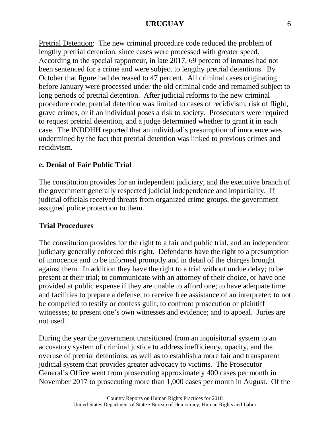Pretrial Detention: The new criminal procedure code reduced the problem of lengthy pretrial detention, since cases were processed with greater speed. According to the special rapporteur, in late 2017, 69 percent of inmates had not been sentenced for a crime and were subject to lengthy pretrial detentions. By October that figure had decreased to 47 percent. All criminal cases originating before January were processed under the old criminal code and remained subject to long periods of pretrial detention. After judicial reforms to the new criminal procedure code, pretrial detention was limited to cases of recidivism, risk of flight, grave crimes, or if an individual poses a risk to society. Prosecutors were required to request pretrial detention, and a judge determined whether to grant it in each case. The INDDHH reported that an individual's presumption of innocence was undermined by the fact that pretrial detention was linked to previous crimes and recidivism.

### **e. Denial of Fair Public Trial**

The constitution provides for an independent judiciary, and the executive branch of the government generally respected judicial independence and impartiality. If judicial officials received threats from organized crime groups, the government assigned police protection to them.

### **Trial Procedures**

The constitution provides for the right to a fair and public trial, and an independent judiciary generally enforced this right. Defendants have the right to a presumption of innocence and to be informed promptly and in detail of the charges brought against them. In addition they have the right to a trial without undue delay; to be present at their trial; to communicate with an attorney of their choice, or have one provided at public expense if they are unable to afford one; to have adequate time and facilities to prepare a defense; to receive free assistance of an interpreter; to not be compelled to testify or confess guilt; to confront prosecution or plaintiff witnesses; to present one's own witnesses and evidence; and to appeal. Juries are not used.

During the year the government transitioned from an inquisitorial system to an accusatory system of criminal justice to address inefficiency, opacity, and the overuse of pretrial detentions, as well as to establish a more fair and transparent judicial system that provides greater advocacy to victims. The Prosecutor General's Office went from prosecuting approximately 400 cases per month in November 2017 to prosecuting more than 1,000 cases per month in August. Of the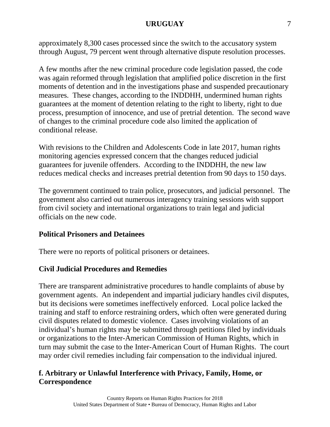approximately 8,300 cases processed since the switch to the accusatory system through August, 79 percent went through alternative dispute resolution processes.

A few months after the new criminal procedure code legislation passed, the code was again reformed through legislation that amplified police discretion in the first moments of detention and in the investigations phase and suspended precautionary measures. These changes, according to the INDDHH, undermined human rights guarantees at the moment of detention relating to the right to liberty, right to due process, presumption of innocence, and use of pretrial detention. The second wave of changes to the criminal procedure code also limited the application of conditional release.

With revisions to the Children and Adolescents Code in late 2017, human rights monitoring agencies expressed concern that the changes reduced judicial guarantees for juvenile offenders. According to the INDDHH, the new law reduces medical checks and increases pretrial detention from 90 days to 150 days.

The government continued to train police, prosecutors, and judicial personnel. The government also carried out numerous interagency training sessions with support from civil society and international organizations to train legal and judicial officials on the new code.

### **Political Prisoners and Detainees**

There were no reports of political prisoners or detainees.

### **Civil Judicial Procedures and Remedies**

There are transparent administrative procedures to handle complaints of abuse by government agents. An independent and impartial judiciary handles civil disputes, but its decisions were sometimes ineffectively enforced. Local police lacked the training and staff to enforce restraining orders, which often were generated during civil disputes related to domestic violence. Cases involving violations of an individual's human rights may be submitted through petitions filed by individuals or organizations to the Inter-American Commission of Human Rights, which in turn may submit the case to the Inter-American Court of Human Rights. The court may order civil remedies including fair compensation to the individual injured.

## **f. Arbitrary or Unlawful Interference with Privacy, Family, Home, or Correspondence**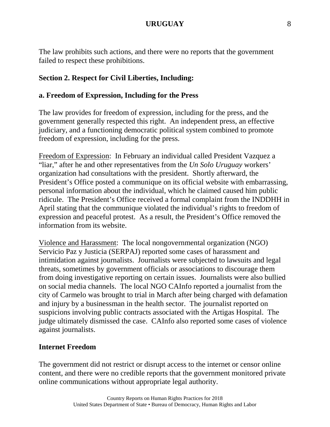The law prohibits such actions, and there were no reports that the government failed to respect these prohibitions.

### **Section 2. Respect for Civil Liberties, Including:**

#### **a. Freedom of Expression, Including for the Press**

The law provides for freedom of expression, including for the press, and the government generally respected this right. An independent press, an effective judiciary, and a functioning democratic political system combined to promote freedom of expression, including for the press.

Freedom of Expression: In February an individual called President Vazquez a "liar," after he and other representatives from the *Un Solo Uruguay* workers' organization had consultations with the president. Shortly afterward, the President's Office posted a communique on its official website with embarrassing, personal information about the individual, which he claimed caused him public ridicule. The President's Office received a formal complaint from the INDDHH in April stating that the communique violated the individual's rights to freedom of expression and peaceful protest. As a result, the President's Office removed the information from its website.

Violence and Harassment: The local nongovernmental organization (NGO) Servicio Paz y Justicia (SERPAJ) reported some cases of harassment and intimidation against journalists. Journalists were subjected to lawsuits and legal threats, sometimes by government officials or associations to discourage them from doing investigative reporting on certain issues. Journalists were also bullied on social media channels. The local NGO CAInfo reported a journalist from the city of Carmelo was brought to trial in March after being charged with defamation and injury by a businessman in the health sector. The journalist reported on suspicions involving public contracts associated with the Artigas Hospital. The judge ultimately dismissed the case. CAInfo also reported some cases of violence against journalists.

### **Internet Freedom**

The government did not restrict or disrupt access to the internet or censor online content, and there were no credible reports that the government monitored private online communications without appropriate legal authority.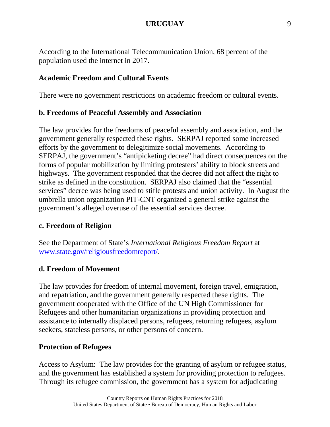According to the International Telecommunication Union, 68 percent of the population used the internet in 2017.

#### **Academic Freedom and Cultural Events**

There were no government restrictions on academic freedom or cultural events.

#### **b. Freedoms of Peaceful Assembly and Association**

The law provides for the freedoms of peaceful assembly and association, and the government generally respected these rights. SERPAJ reported some increased efforts by the government to delegitimize social movements. According to SERPAJ, the government's "antipicketing decree" had direct consequences on the forms of popular mobilization by limiting protesters' ability to block streets and highways. The government responded that the decree did not affect the right to strike as defined in the constitution. SERPAJ also claimed that the "essential services" decree was being used to stifle protests and union activity. In August the umbrella union organization PIT-CNT organized a general strike against the government's alleged overuse of the essential services decree.

#### **c. Freedom of Religion**

See the Department of State's *International Religious Freedom Report* at [www.state.gov/religiousfreedomreport/.](http://www.state.gov/religiousfreedomreport/)

#### **d. Freedom of Movement**

The law provides for freedom of internal movement, foreign travel, emigration, and repatriation, and the government generally respected these rights. The government cooperated with the Office of the UN High Commissioner for Refugees and other humanitarian organizations in providing protection and assistance to internally displaced persons, refugees, returning refugees, asylum seekers, stateless persons, or other persons of concern.

#### **Protection of Refugees**

Access to Asylum: The law provides for the granting of asylum or refugee status, and the government has established a system for providing protection to refugees. Through its refugee commission, the government has a system for adjudicating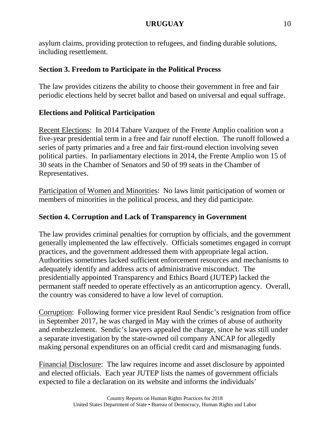asylum claims, providing protection to refugees, and finding durable solutions, including resettlement.

## **Section 3. Freedom to Participate in the Political Process**

The law provides citizens the ability to choose their government in free and fair periodic elections held by secret ballot and based on universal and equal suffrage.

## **Elections and Political Participation**

Recent Elections: In 2014 Tabare Vazquez of the Frente Amplio coalition won a five-year presidential term in a free and fair runoff election. The runoff followed a series of party primaries and a free and fair first-round election involving seven political parties. In parliamentary elections in 2014, the Frente Amplio won 15 of 30 seats in the Chamber of Senators and 50 of 99 seats in the Chamber of Representatives.

Participation of Women and Minorities: No laws limit participation of women or members of minorities in the political process, and they did participate.

## **Section 4. Corruption and Lack of Transparency in Government**

The law provides criminal penalties for corruption by officials, and the government generally implemented the law effectively. Officials sometimes engaged in corrupt practices, and the government addressed them with appropriate legal action. Authorities sometimes lacked sufficient enforcement resources and mechanisms to adequately identify and address acts of administrative misconduct. The presidentially appointed Transparency and Ethics Board (JUTEP) lacked the permanent staff needed to operate effectively as an anticorruption agency. Overall, the country was considered to have a low level of corruption.

Corruption: Following former vice president Raul Sendic's resignation from office in September 2017, he was charged in May with the crimes of abuse of authority and embezzlement. Sendic's lawyers appealed the charge, since he was still under a separate investigation by the state-owned oil company ANCAP for allegedly making personal expenditures on an official credit card and mismanaging funds.

Financial Disclosure: The law requires income and asset disclosure by appointed and elected officials. Each year JUTEP lists the names of government officials expected to file a declaration on its website and informs the individuals'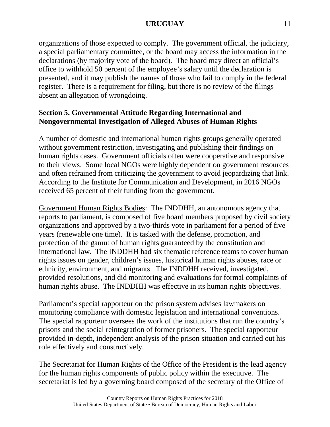organizations of those expected to comply. The government official, the judiciary, a special parliamentary committee, or the board may access the information in the declarations (by majority vote of the board). The board may direct an official's office to withhold 50 percent of the employee's salary until the declaration is presented, and it may publish the names of those who fail to comply in the federal register. There is a requirement for filing, but there is no review of the filings absent an allegation of wrongdoing.

## **Section 5. Governmental Attitude Regarding International and Nongovernmental Investigation of Alleged Abuses of Human Rights**

A number of domestic and international human rights groups generally operated without government restriction, investigating and publishing their findings on human rights cases. Government officials often were cooperative and responsive to their views. Some local NGOs were highly dependent on government resources and often refrained from criticizing the government to avoid jeopardizing that link. According to the Institute for Communication and Development, in 2016 NGOs received 65 percent of their funding from the government.

Government Human Rights Bodies: The INDDHH, an autonomous agency that reports to parliament, is composed of five board members proposed by civil society organizations and approved by a two-thirds vote in parliament for a period of five years (renewable one time). It is tasked with the defense, promotion, and protection of the gamut of human rights guaranteed by the constitution and international law. The INDDHH had six thematic reference teams to cover human rights issues on gender, children's issues, historical human rights abuses, race or ethnicity, environment, and migrants. The INDDHH received, investigated, provided resolutions, and did monitoring and evaluations for formal complaints of human rights abuse. The INDDHH was effective in its human rights objectives.

Parliament's special rapporteur on the prison system advises lawmakers on monitoring compliance with domestic legislation and international conventions. The special rapporteur oversees the work of the institutions that run the country's prisons and the social reintegration of former prisoners. The special rapporteur provided in-depth, independent analysis of the prison situation and carried out his role effectively and constructively.

The Secretariat for Human Rights of the Office of the President is the lead agency for the human rights components of public policy within the executive. The secretariat is led by a governing board composed of the secretary of the Office of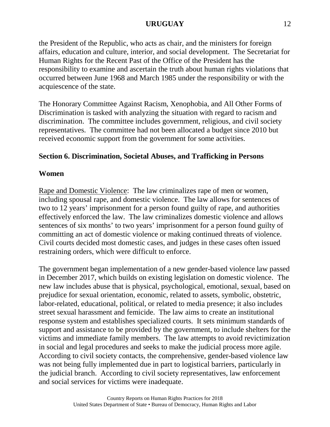the President of the Republic, who acts as chair, and the ministers for foreign affairs, education and culture, interior, and social development. The Secretariat for Human Rights for the Recent Past of the Office of the President has the responsibility to examine and ascertain the truth about human rights violations that occurred between June 1968 and March 1985 under the responsibility or with the acquiescence of the state.

The Honorary Committee Against Racism, Xenophobia, and All Other Forms of Discrimination is tasked with analyzing the situation with regard to racism and discrimination. The committee includes government, religious, and civil society representatives. The committee had not been allocated a budget since 2010 but received economic support from the government for some activities.

## **Section 6. Discrimination, Societal Abuses, and Trafficking in Persons**

### **Women**

Rape and Domestic Violence: The law criminalizes rape of men or women, including spousal rape, and domestic violence. The law allows for sentences of two to 12 years' imprisonment for a person found guilty of rape, and authorities effectively enforced the law. The law criminalizes domestic violence and allows sentences of six months' to two years' imprisonment for a person found guilty of committing an act of domestic violence or making continued threats of violence. Civil courts decided most domestic cases, and judges in these cases often issued restraining orders, which were difficult to enforce.

The government began implementation of a new gender-based violence law passed in December 2017, which builds on existing legislation on domestic violence. The new law includes abuse that is physical, psychological, emotional, sexual, based on prejudice for sexual orientation, economic, related to assets, symbolic, obstetric, labor-related, educational, political, or related to media presence; it also includes street sexual harassment and femicide. The law aims to create an institutional response system and establishes specialized courts. It sets minimum standards of support and assistance to be provided by the government, to include shelters for the victims and immediate family members. The law attempts to avoid revictimization in social and legal procedures and seeks to make the judicial process more agile. According to civil society contacts, the comprehensive, gender-based violence law was not being fully implemented due in part to logistical barriers, particularly in the judicial branch. According to civil society representatives, law enforcement and social services for victims were inadequate.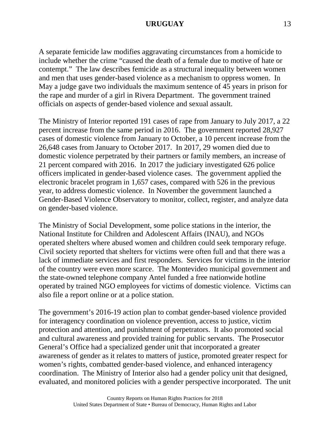A separate femicide law modifies aggravating circumstances from a homicide to include whether the crime "caused the death of a female due to motive of hate or contempt." The law describes femicide as a structural inequality between women and men that uses gender-based violence as a mechanism to oppress women. In May a judge gave two individuals the maximum sentence of 45 years in prison for the rape and murder of a girl in Rivera Department. The government trained officials on aspects of gender-based violence and sexual assault.

The Ministry of Interior reported 191 cases of rape from January to July 2017, a 22 percent increase from the same period in 2016. The government reported 28,927 cases of domestic violence from January to October, a 10 percent increase from the 26,648 cases from January to October 2017. In 2017, 29 women died due to domestic violence perpetrated by their partners or family members, an increase of 21 percent compared with 2016. In 2017 the judiciary investigated 626 police officers implicated in gender-based violence cases. The government applied the electronic bracelet program in 1,657 cases, compared with 526 in the previous year, to address domestic violence. In November the government launched a Gender-Based Violence Observatory to monitor, collect, register, and analyze data on gender-based violence.

The Ministry of Social Development, some police stations in the interior, the National Institute for Children and Adolescent Affairs (INAU), and NGOs operated shelters where abused women and children could seek temporary refuge. Civil society reported that shelters for victims were often full and that there was a lack of immediate services and first responders. Services for victims in the interior of the country were even more scarce. The Montevideo municipal government and the state-owned telephone company Antel funded a free nationwide hotline operated by trained NGO employees for victims of domestic violence. Victims can also file a report online or at a police station.

The government's 2016-19 action plan to combat gender-based violence provided for interagency coordination on violence prevention, access to justice, victim protection and attention, and punishment of perpetrators. It also promoted social and cultural awareness and provided training for public servants. The Prosecutor General's Office had a specialized gender unit that incorporated a greater awareness of gender as it relates to matters of justice, promoted greater respect for women's rights, combatted gender-based violence, and enhanced interagency coordination. The Ministry of Interior also had a gender policy unit that designed, evaluated, and monitored policies with a gender perspective incorporated. The unit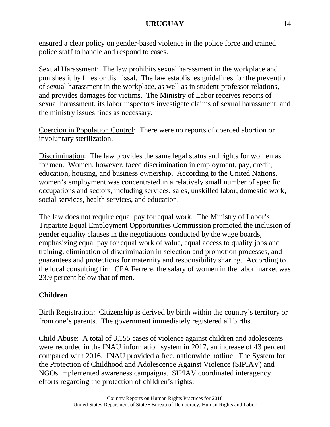ensured a clear policy on gender-based violence in the police force and trained police staff to handle and respond to cases.

Sexual Harassment: The law prohibits sexual harassment in the workplace and punishes it by fines or dismissal. The law establishes guidelines for the prevention of sexual harassment in the workplace, as well as in student-professor relations, and provides damages for victims. The Ministry of Labor receives reports of sexual harassment, its labor inspectors investigate claims of sexual harassment, and the ministry issues fines as necessary.

Coercion in Population Control: There were no reports of coerced abortion or involuntary sterilization.

Discrimination: The law provides the same legal status and rights for women as for men. Women, however, faced discrimination in employment, pay, credit, education, housing, and business ownership. According to the United Nations, women's employment was concentrated in a relatively small number of specific occupations and sectors, including services, sales, unskilled labor, domestic work, social services, health services, and education.

The law does not require equal pay for equal work. The Ministry of Labor's Tripartite Equal Employment Opportunities Commission promoted the inclusion of gender equality clauses in the negotiations conducted by the wage boards, emphasizing equal pay for equal work of value, equal access to quality jobs and training, elimination of discrimination in selection and promotion processes, and guarantees and protections for maternity and responsibility sharing. According to the local consulting firm CPA Ferrere, the salary of women in the labor market was 23.9 percent below that of men.

## **Children**

Birth Registration: Citizenship is derived by birth within the country's territory or from one's parents. The government immediately registered all births.

Child Abuse: A total of 3,155 cases of violence against children and adolescents were recorded in the INAU information system in 2017, an increase of 43 percent compared with 2016. INAU provided a free, nationwide hotline. The System for the Protection of Childhood and Adolescence Against Violence (SIPIAV) and NGOs implemented awareness campaigns. SIPIAV coordinated interagency efforts regarding the protection of children's rights.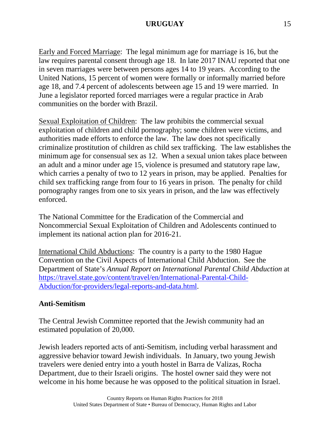Early and Forced Marriage: The legal minimum age for marriage is 16, but the law requires parental consent through age 18. In late 2017 INAU reported that one in seven marriages were between persons ages 14 to 19 years. According to the United Nations, 15 percent of women were formally or informally married before age 18, and 7.4 percent of adolescents between age 15 and 19 were married. In June a legislator reported forced marriages were a regular practice in Arab communities on the border with Brazil.

Sexual Exploitation of Children: The law prohibits the commercial sexual exploitation of children and child pornography; some children were victims, and authorities made efforts to enforce the law. The law does not specifically criminalize prostitution of children as child sex trafficking. The law establishes the minimum age for consensual sex as 12. When a sexual union takes place between an adult and a minor under age 15, violence is presumed and statutory rape law, which carries a penalty of two to 12 years in prison, may be applied. Penalties for child sex trafficking range from four to 16 years in prison. The penalty for child pornography ranges from one to six years in prison, and the law was effectively enforced.

The National Committee for the Eradication of the Commercial and Noncommercial Sexual Exploitation of Children and Adolescents continued to implement its national action plan for 2016-21.

International Child Abductions: The country is a party to the 1980 Hague Convention on the Civil Aspects of International Child Abduction. See the Department of State's *Annual Report on International Parental Child Abduction* at [https://travel.state.gov/content/travel/en/International-Parental-Child-](https://travel.state.gov/content/travel/en/International-Parental-Child-Abduction/for-providers/legal-reports-and-data.html)[Abduction/for-providers/legal-reports-and-data.html.](https://travel.state.gov/content/travel/en/International-Parental-Child-Abduction/for-providers/legal-reports-and-data.html)

## **Anti-Semitism**

The Central Jewish Committee reported that the Jewish community had an estimated population of 20,000.

Jewish leaders reported acts of anti-Semitism, including verbal harassment and aggressive behavior toward Jewish individuals. In January, two young Jewish travelers were denied entry into a youth hostel in Barra de Valizas, Rocha Department, due to their Israeli origins. The hostel owner said they were not welcome in his home because he was opposed to the political situation in Israel.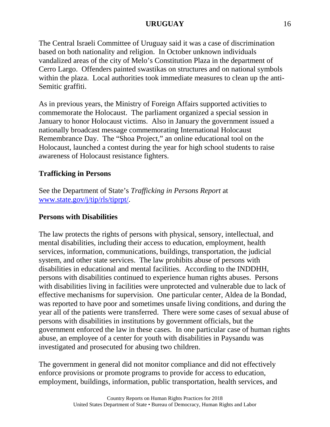The Central Israeli Committee of Uruguay said it was a case of discrimination based on both nationality and religion. In October unknown individuals vandalized areas of the city of Melo's Constitution Plaza in the department of Cerro Largo. Offenders painted swastikas on structures and on national symbols within the plaza. Local authorities took immediate measures to clean up the anti-Semitic graffiti.

As in previous years, the Ministry of Foreign Affairs supported activities to commemorate the Holocaust. The parliament organized a special session in January to honor Holocaust victims. Also in January the government issued a nationally broadcast message commemorating International Holocaust Remembrance Day. The "Shoa Project," an online educational tool on the Holocaust, launched a contest during the year for high school students to raise awareness of Holocaust resistance fighters.

## **Trafficking in Persons**

See the Department of State's *Trafficking in Persons Report* at [www.state.gov/j/tip/rls/tiprpt/.](http://www.state.gov/j/tip/rls/tiprpt/)

## **Persons with Disabilities**

The law protects the rights of persons with physical, sensory, intellectual, and mental disabilities, including their access to education, employment, health services, information, communications, buildings, transportation, the judicial system, and other state services. The law prohibits abuse of persons with disabilities in educational and mental facilities. According to the INDDHH, persons with disabilities continued to experience human rights abuses. Persons with disabilities living in facilities were unprotected and vulnerable due to lack of effective mechanisms for supervision. One particular center, Aldea de la Bondad, was reported to have poor and sometimes unsafe living conditions, and during the year all of the patients were transferred. There were some cases of sexual abuse of persons with disabilities in institutions by government officials, but the government enforced the law in these cases. In one particular case of human rights abuse, an employee of a center for youth with disabilities in Paysandu was investigated and prosecuted for abusing two children.

The government in general did not monitor compliance and did not effectively enforce provisions or promote programs to provide for access to education, employment, buildings, information, public transportation, health services, and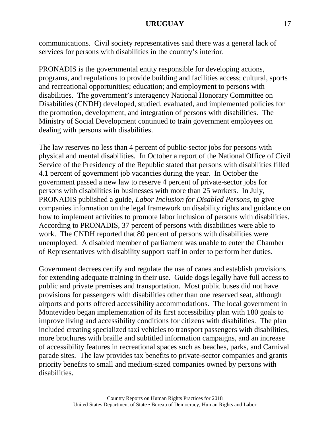communications. Civil society representatives said there was a general lack of services for persons with disabilities in the country's interior.

PRONADIS is the governmental entity responsible for developing actions, programs, and regulations to provide building and facilities access; cultural, sports and recreational opportunities; education; and employment to persons with disabilities. The government's interagency National Honorary Committee on Disabilities (CNDH) developed, studied, evaluated, and implemented policies for the promotion, development, and integration of persons with disabilities. The Ministry of Social Development continued to train government employees on dealing with persons with disabilities.

The law reserves no less than 4 percent of public-sector jobs for persons with physical and mental disabilities. In October a report of the National Office of Civil Service of the Presidency of the Republic stated that persons with disabilities filled 4.1 percent of government job vacancies during the year. In October the government passed a new law to reserve 4 percent of private-sector jobs for persons with disabilities in businesses with more than 25 workers. In July, PRONADIS published a guide, *Labor Inclusion for Disabled Persons*, to give companies information on the legal framework on disability rights and guidance on how to implement activities to promote labor inclusion of persons with disabilities. According to PRONADIS, 37 percent of persons with disabilities were able to work. The CNDH reported that 80 percent of persons with disabilities were unemployed. A disabled member of parliament was unable to enter the Chamber of Representatives with disability support staff in order to perform her duties.

Government decrees certify and regulate the use of canes and establish provisions for extending adequate training in their use. Guide dogs legally have full access to public and private premises and transportation. Most public buses did not have provisions for passengers with disabilities other than one reserved seat, although airports and ports offered accessibility accommodations. The local government in Montevideo began implementation of its first accessibility plan with 180 goals to improve living and accessibility conditions for citizens with disabilities. The plan included creating specialized taxi vehicles to transport passengers with disabilities, more brochures with braille and subtitled information campaigns, and an increase of accessibility features in recreational spaces such as beaches, parks, and Carnival parade sites. The law provides tax benefits to private-sector companies and grants priority benefits to small and medium-sized companies owned by persons with disabilities.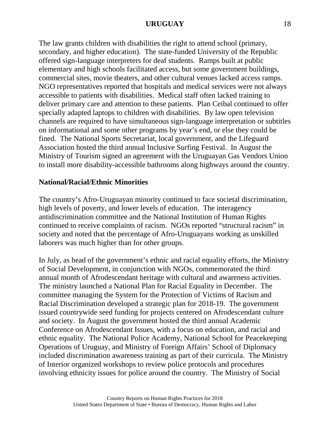The law grants children with disabilities the right to attend school (primary, secondary, and higher education). The state-funded University of the Republic offered sign-language interpreters for deaf students. Ramps built at public elementary and high schools facilitated access, but some government buildings, commercial sites, movie theaters, and other cultural venues lacked access ramps. NGO representatives reported that hospitals and medical services were not always accessible to patients with disabilities. Medical staff often lacked training to deliver primary care and attention to these patients. Plan Ceibal continued to offer specially adapted laptops to children with disabilities. By law open television channels are required to have simultaneous sign-language interpretation or subtitles on informational and some other programs by year's end, or else they could be fined. The National Sports Secretariat, local government, and the Lifeguard Association hosted the third annual Inclusive Surfing Festival. In August the Ministry of Tourism signed an agreement with the Uruguayan Gas Vendors Union to install more disability-accessible bathrooms along highways around the country.

#### **National/Racial/Ethnic Minorities**

The country's Afro-Uruguayan minority continued to face societal discrimination, high levels of poverty, and lower levels of education. The interagency antidiscrimination committee and the National Institution of Human Rights continued to receive complaints of racism. NGOs reported "structural racism" in society and noted that the percentage of Afro-Uruguayans working as unskilled laborers was much higher than for other groups.

In July, as head of the government's ethnic and racial equality efforts, the Ministry of Social Development, in conjunction with NGOs, commemorated the third annual month of Afrodescendant heritage with cultural and awareness activities. The ministry launched a National Plan for Racial Equality in December. The committee managing the System for the Protection of Victims of Racism and Racial Discrimination developed a strategic plan for 2018-19. The government issued countrywide seed funding for projects centered on Afrodescendant culture and society. In August the government hosted the third annual Academic Conference on Afrodescendant Issues, with a focus on education, and racial and ethnic equality. The National Police Academy, National School for Peacekeeping Operations of Uruguay, and Ministry of Foreign Affairs' School of Diplomacy included discrimination awareness training as part of their curricula. The Ministry of Interior organized workshops to review police protocols and procedures involving ethnicity issues for police around the country. The Ministry of Social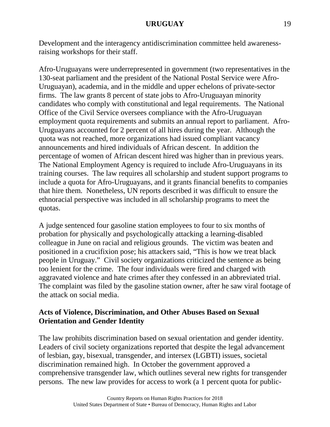Development and the interagency antidiscrimination committee held awarenessraising workshops for their staff.

Afro-Uruguayans were underrepresented in government (two representatives in the 130-seat parliament and the president of the National Postal Service were Afro-Uruguayan), academia, and in the middle and upper echelons of private-sector firms. The law grants 8 percent of state jobs to Afro-Uruguayan minority candidates who comply with constitutional and legal requirements. The National Office of the Civil Service oversees compliance with the Afro-Uruguayan employment quota requirements and submits an annual report to parliament. Afro-Uruguayans accounted for 2 percent of all hires during the year. Although the quota was not reached, more organizations had issued compliant vacancy announcements and hired individuals of African descent. In addition the percentage of women of African descent hired was higher than in previous years. The National Employment Agency is required to include Afro-Uruguayans in its training courses. The law requires all scholarship and student support programs to include a quota for Afro-Uruguayans, and it grants financial benefits to companies that hire them. Nonetheless, UN reports described it was difficult to ensure the ethnoracial perspective was included in all scholarship programs to meet the quotas.

A judge sentenced four gasoline station employees to four to six months of probation for physically and psychologically attacking a learning-disabled colleague in June on racial and religious grounds. The victim was beaten and positioned in a crucifixion pose; his attackers said, "This is how we treat black people in Uruguay." Civil society organizations criticized the sentence as being too lenient for the crime. The four individuals were fired and charged with aggravated violence and hate crimes after they confessed in an abbreviated trial. The complaint was filed by the gasoline station owner, after he saw viral footage of the attack on social media.

### **Acts of Violence, Discrimination, and Other Abuses Based on Sexual Orientation and Gender Identity**

The law prohibits discrimination based on sexual orientation and gender identity. Leaders of civil society organizations reported that despite the legal advancement of lesbian, gay, bisexual, transgender, and intersex (LGBTI) issues, societal discrimination remained high. In October the government approved a comprehensive transgender law, which outlines several new rights for transgender persons. The new law provides for access to work (a 1 percent quota for public-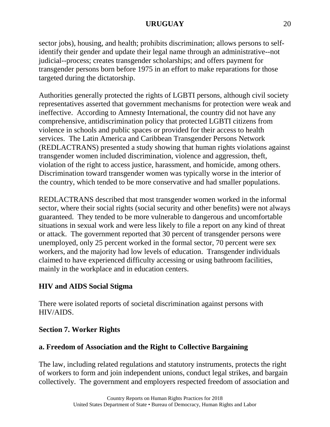sector jobs), housing, and health; prohibits discrimination; allows persons to selfidentify their gender and update their legal name through an administrative--not judicial--process; creates transgender scholarships; and offers payment for transgender persons born before 1975 in an effort to make reparations for those targeted during the dictatorship.

Authorities generally protected the rights of LGBTI persons, although civil society representatives asserted that government mechanisms for protection were weak and ineffective. According to Amnesty International, the country did not have any comprehensive, antidiscrimination policy that protected LGBTI citizens from violence in schools and public spaces or provided for their access to health services. The Latin America and Caribbean Transgender Persons Network (REDLACTRANS) presented a study showing that human rights violations against transgender women included discrimination, violence and aggression, theft, violation of the right to access justice, harassment, and homicide, among others. Discrimination toward transgender women was typically worse in the interior of the country, which tended to be more conservative and had smaller populations.

REDLACTRANS described that most transgender women worked in the informal sector, where their social rights (social security and other benefits) were not always guaranteed. They tended to be more vulnerable to dangerous and uncomfortable situations in sexual work and were less likely to file a report on any kind of threat or attack. The government reported that 30 percent of transgender persons were unemployed, only 25 percent worked in the formal sector, 70 percent were sex workers, and the majority had low levels of education. Transgender individuals claimed to have experienced difficulty accessing or using bathroom facilities, mainly in the workplace and in education centers.

## **HIV and AIDS Social Stigma**

There were isolated reports of societal discrimination against persons with HIV/AIDS.

## **Section 7. Worker Rights**

## **a. Freedom of Association and the Right to Collective Bargaining**

The law, including related regulations and statutory instruments, protects the right of workers to form and join independent unions, conduct legal strikes, and bargain collectively. The government and employers respected freedom of association and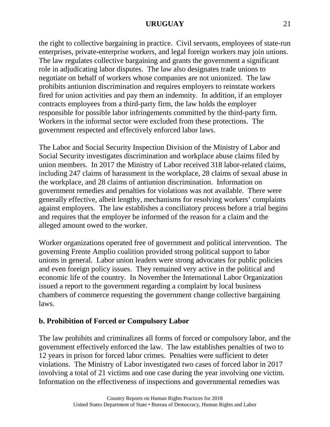the right to collective bargaining in practice. Civil servants, employees of state-run enterprises, private-enterprise workers, and legal foreign workers may join unions. The law regulates collective bargaining and grants the government a significant role in adjudicating labor disputes. The law also designates trade unions to negotiate on behalf of workers whose companies are not unionized. The law prohibits antiunion discrimination and requires employers to reinstate workers fired for union activities and pay them an indemnity. In addition, if an employer contracts employees from a third-party firm, the law holds the employer responsible for possible labor infringements committed by the third-party firm. Workers in the informal sector were excluded from these protections. The government respected and effectively enforced labor laws.

The Labor and Social Security Inspection Division of the Ministry of Labor and Social Security investigates discrimination and workplace abuse claims filed by union members. In 2017 the Ministry of Labor received 318 labor-related claims, including 247 claims of harassment in the workplace, 28 claims of sexual abuse in the workplace, and 28 claims of antiunion discrimination. Information on government remedies and penalties for violations was not available. There were generally effective, albeit lengthy, mechanisms for resolving workers' complaints against employers. The law establishes a conciliatory process before a trial begins and requires that the employer be informed of the reason for a claim and the alleged amount owed to the worker.

Worker organizations operated free of government and political intervention. The governing Frente Amplio coalition provided strong political support to labor unions in general. Labor union leaders were strong advocates for public policies and even foreign policy issues. They remained very active in the political and economic life of the country. In November the International Labor Organization issued a report to the government regarding a complaint by local business chambers of commerce requesting the government change collective bargaining laws.

## **b. Prohibition of Forced or Compulsory Labor**

The law prohibits and criminalizes all forms of forced or compulsory labor, and the government effectively enforced the law. The law establishes penalties of two to 12 years in prison for forced labor crimes. Penalties were sufficient to deter violations. The Ministry of Labor investigated two cases of forced labor in 2017 involving a total of 21 victims and one case during the year involving one victim. Information on the effectiveness of inspections and governmental remedies was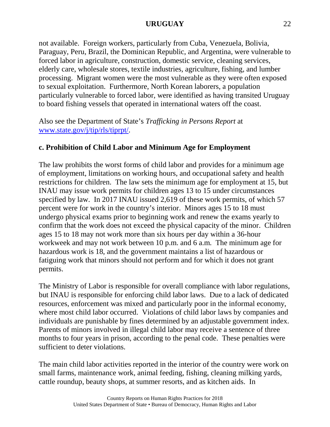not available. Foreign workers, particularly from Cuba, Venezuela, Bolivia, Paraguay, Peru, Brazil, the Dominican Republic, and Argentina, were vulnerable to forced labor in agriculture, construction, domestic service, cleaning services, elderly care, wholesale stores, textile industries, agriculture, fishing, and lumber processing. Migrant women were the most vulnerable as they were often exposed to sexual exploitation. Furthermore, North Korean laborers, a population particularly vulnerable to forced labor, were identified as having transited Uruguay to board fishing vessels that operated in international waters off the coast.

Also see the Department of State's *Trafficking in Persons Report* at [www.state.gov/j/tip/rls/tiprpt/.](http://www.state.gov/j/tip/rls/tiprpt/)

## **c. Prohibition of Child Labor and Minimum Age for Employment**

The law prohibits the worst forms of child labor and provides for a minimum age of employment, limitations on working hours, and occupational safety and health restrictions for children. The law sets the minimum age for employment at 15, but INAU may issue work permits for children ages 13 to 15 under circumstances specified by law. In 2017 INAU issued 2,619 of these work permits, of which 57 percent were for work in the country's interior. Minors ages 15 to 18 must undergo physical exams prior to beginning work and renew the exams yearly to confirm that the work does not exceed the physical capacity of the minor. Children ages 15 to 18 may not work more than six hours per day within a 36-hour workweek and may not work between 10 p.m. and 6 a.m. The minimum age for hazardous work is 18, and the government maintains a list of hazardous or fatiguing work that minors should not perform and for which it does not grant permits.

The Ministry of Labor is responsible for overall compliance with labor regulations, but INAU is responsible for enforcing child labor laws. Due to a lack of dedicated resources, enforcement was mixed and particularly poor in the informal economy, where most child labor occurred. Violations of child labor laws by companies and individuals are punishable by fines determined by an adjustable government index. Parents of minors involved in illegal child labor may receive a sentence of three months to four years in prison, according to the penal code. These penalties were sufficient to deter violations.

The main child labor activities reported in the interior of the country were work on small farms, maintenance work, animal feeding, fishing, cleaning milking yards, cattle roundup, beauty shops, at summer resorts, and as kitchen aids. In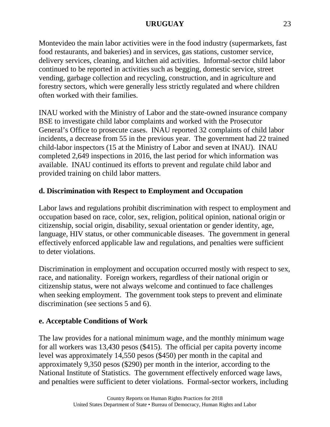Montevideo the main labor activities were in the food industry (supermarkets, fast food restaurants, and bakeries) and in services, gas stations, customer service, delivery services, cleaning, and kitchen aid activities. Informal-sector child labor continued to be reported in activities such as begging, domestic service, street vending, garbage collection and recycling, construction, and in agriculture and forestry sectors, which were generally less strictly regulated and where children often worked with their families.

INAU worked with the Ministry of Labor and the state-owned insurance company BSE to investigate child labor complaints and worked with the Prosecutor General's Office to prosecute cases. INAU reported 32 complaints of child labor incidents, a decrease from 55 in the previous year. The government had 22 trained child-labor inspectors (15 at the Ministry of Labor and seven at INAU). INAU completed 2,649 inspections in 2016, the last period for which information was available. INAU continued its efforts to prevent and regulate child labor and provided training on child labor matters.

# **d. Discrimination with Respect to Employment and Occupation**

Labor laws and regulations prohibit discrimination with respect to employment and occupation based on race, color, sex, religion, political opinion, national origin or citizenship, social origin, disability, sexual orientation or gender identity, age, language, HIV status, or other communicable diseases. The government in general effectively enforced applicable law and regulations, and penalties were sufficient to deter violations.

Discrimination in employment and occupation occurred mostly with respect to sex, race, and nationality. Foreign workers, regardless of their national origin or citizenship status, were not always welcome and continued to face challenges when seeking employment. The government took steps to prevent and eliminate discrimination (see sections 5 and 6).

# **e. Acceptable Conditions of Work**

The law provides for a national minimum wage, and the monthly minimum wage for all workers was 13,430 pesos (\$415). The official per capita poverty income level was approximately 14,550 pesos (\$450) per month in the capital and approximately 9,350 pesos (\$290) per month in the interior, according to the National Institute of Statistics. The government effectively enforced wage laws, and penalties were sufficient to deter violations. Formal-sector workers, including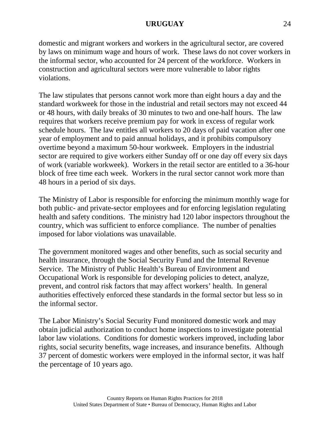domestic and migrant workers and workers in the agricultural sector, are covered by laws on minimum wage and hours of work. These laws do not cover workers in the informal sector, who accounted for 24 percent of the workforce. Workers in construction and agricultural sectors were more vulnerable to labor rights violations.

The law stipulates that persons cannot work more than eight hours a day and the standard workweek for those in the industrial and retail sectors may not exceed 44 or 48 hours, with daily breaks of 30 minutes to two and one-half hours. The law requires that workers receive premium pay for work in excess of regular work schedule hours. The law entitles all workers to 20 days of paid vacation after one year of employment and to paid annual holidays, and it prohibits compulsory overtime beyond a maximum 50-hour workweek. Employers in the industrial sector are required to give workers either Sunday off or one day off every six days of work (variable workweek). Workers in the retail sector are entitled to a 36-hour block of free time each week. Workers in the rural sector cannot work more than 48 hours in a period of six days.

The Ministry of Labor is responsible for enforcing the minimum monthly wage for both public- and private-sector employees and for enforcing legislation regulating health and safety conditions. The ministry had 120 labor inspectors throughout the country, which was sufficient to enforce compliance. The number of penalties imposed for labor violations was unavailable.

The government monitored wages and other benefits, such as social security and health insurance, through the Social Security Fund and the Internal Revenue Service. The Ministry of Public Health's Bureau of Environment and Occupational Work is responsible for developing policies to detect, analyze, prevent, and control risk factors that may affect workers' health. In general authorities effectively enforced these standards in the formal sector but less so in the informal sector.

The Labor Ministry's Social Security Fund monitored domestic work and may obtain judicial authorization to conduct home inspections to investigate potential labor law violations. Conditions for domestic workers improved, including labor rights, social security benefits, wage increases, and insurance benefits. Although 37 percent of domestic workers were employed in the informal sector, it was half the percentage of 10 years ago.